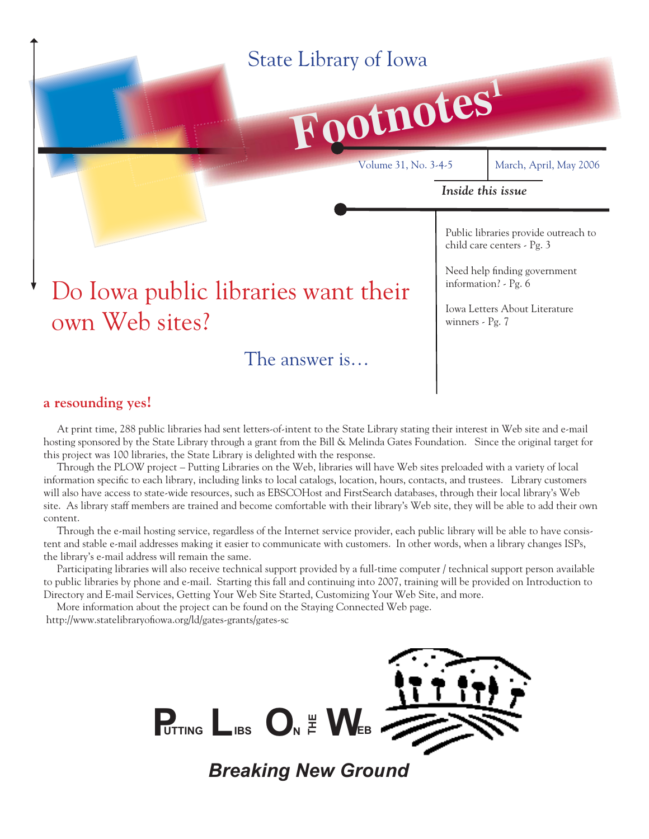# State Library of Iowa

# **Footnotes<sup>1</sup>** Volume 31, No. 3-4-5 March, April, May 2006 *Inside this issue* Public libraries provide outreach to child care centers - Pg. 3 Need help finding government information? - Pg. 6 Iowa Letters About Literature winners - Pg. 7 Do Iowa public libraries want their own Web sites? The answer is…

### **a resounding yes!**

 At print time, 288 public libraries had sent letters-of-intent to the State Library stating their interest in Web site and e-mail hosting sponsored by the State Library through a grant from the Bill & Melinda Gates Foundation. Since the original target for this project was 100 libraries, the State Library is delighted with the response.

 Through the PLOW project – Putting Libraries on the Web, libraries will have Web sites preloaded with a variety of local information specific to each library, including links to local catalogs, location, hours, contacts, and trustees. Library customers will also have access to state-wide resources, such as EBSCOHost and FirstSearch databases, through their local library's Web site. As library staff members are trained and become comfortable with their library's Web site, they will be able to add their own content.

 Through the e-mail hosting service, regardless of the Internet service provider, each public library will be able to have consistent and stable e-mail addresses making it easier to communicate with customers. In other words, when a library changes ISPs, the library's e-mail address will remain the same.

 Participating libraries will also receive technical support provided by a full-time computer / technical support person available to public libraries by phone and e-mail. Starting this fall and continuing into 2007, training will be provided on Introduction to Directory and E-mail Services, Getting Your Web Site Started, Customizing Your Web Site, and more.

 More information about the project can be found on the Staying Connected Web page. http://www.statelibraryofiowa.org/ld/gates-grants/gates-sc



*Breaking New Ground*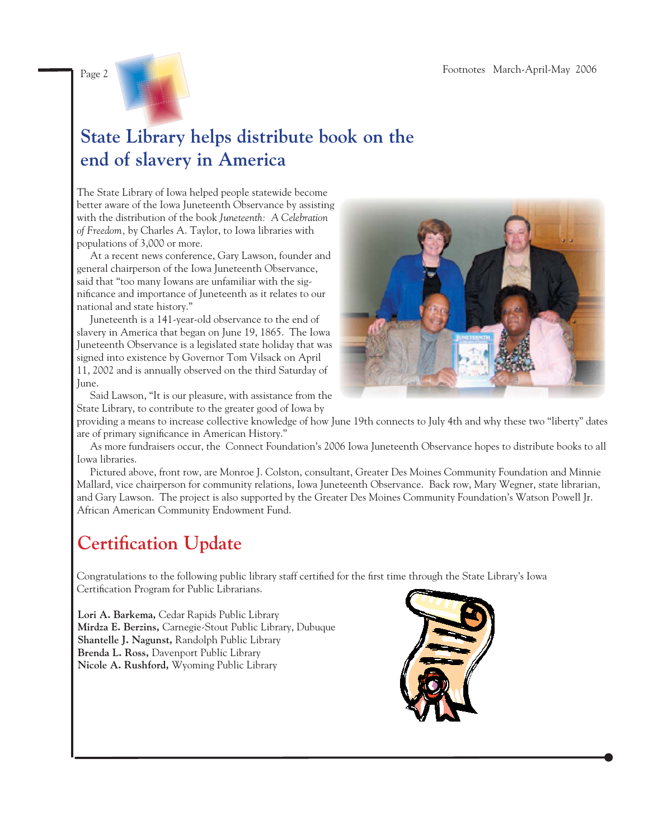

# **State Library helps distribute book on the end of slavery in America**

The State Library of Iowa helped people statewide become better aware of the Iowa Juneteenth Observance by assisting with the distribution of the book *Juneteenth: A Celebration of Freedom,* by Charles A. Taylor, to Iowa libraries with populations of 3,000 or more.

 At a recent news conference, Gary Lawson, founder and general chairperson of the Iowa Juneteenth Observance, said that "too many Iowans are unfamiliar with the significance and importance of Juneteenth as it relates to our national and state history."

 Juneteenth is a 141-year-old observance to the end of slavery in America that began on June 19, 1865. The Iowa Juneteenth Observance is a legislated state holiday that was signed into existence by Governor Tom Vilsack on April 11, 2002 and is annually observed on the third Saturday of June.

 Said Lawson, "It is our pleasure, with assistance from the State Library, to contribute to the greater good of Iowa by



providing a means to increase collective knowledge of how June 19th connects to July 4th and why these two "liberty" dates are of primary significance in American History."

 As more fundraisers occur, the Connect Foundation's 2006 Iowa Juneteenth Observance hopes to distribute books to all Iowa libraries.

 Pictured above, front row, are Monroe J. Colston, consultant, Greater Des Moines Community Foundation and Minnie Mallard, vice chairperson for community relations, Iowa Juneteenth Observance. Back row, Mary Wegner, state librarian, and Gary Lawson. The project is also supported by the Greater Des Moines Community Foundation's Watson Powell Jr. African American Community Endowment Fund.

# **Certification Update**

Congratulations to the following public library staff certified for the first time through the State Library's Iowa Certification Program for Public Librarians.

**Lori A. Barkema,** Cedar Rapids Public Library **Mirdza E. Berzins,** Carnegie-Stout Public Library, Dubuque **Shantelle J. Nagunst,** Randolph Public Library **Brenda L. Ross,** Davenport Public Library **Nicole A. Rushford,** Wyoming Public Library

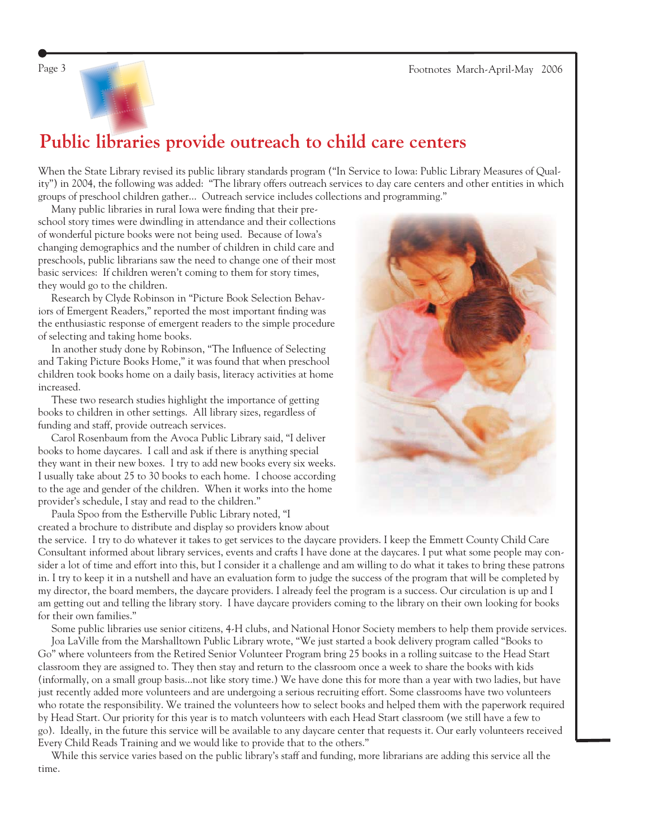



### **Public libraries provide outreach to child care centers**

When the State Library revised its public library standards program ("In Service to Iowa: Public Library Measures of Quality") in 2004, the following was added: "The library offers outreach services to day care centers and other entities in which groups of preschool children gather... Outreach service includes collections and programming."

Many public libraries in rural Iowa were finding that their preschool story times were dwindling in attendance and their collections of wonderful picture books were not being used. Because of Iowa's changing demographics and the number of children in child care and preschools, public librarians saw the need to change one of their most basic services: If children weren't coming to them for story times, they would go to the children.

 Research by Clyde Robinson in "Picture Book Selection Behaviors of Emergent Readers," reported the most important finding was the enthusiastic response of emergent readers to the simple procedure of selecting and taking home books.

In another study done by Robinson, "The Influence of Selecting and Taking Picture Books Home," it was found that when preschool children took books home on a daily basis, literacy activities at home increased.

 These two research studies highlight the importance of getting books to children in other settings. All library sizes, regardless of funding and staff, provide outreach services.

 Carol Rosenbaum from the Avoca Public Library said, "I deliver books to home daycares. I call and ask if there is anything special they want in their new boxes. I try to add new books every six weeks. I usually take about 25 to 30 books to each home. I choose according to the age and gender of the children. When it works into the home provider's schedule, I stay and read to the children."

 Paula Spoo from the Estherville Public Library noted, "I created a brochure to distribute and display so providers know about



 Some public libraries use senior citizens, 4-H clubs, and National Honor Society members to help them provide services. Joa LaVille from the Marshalltown Public Library wrote, "We just started a book delivery program called "Books to Go" where volunteers from the Retired Senior Volunteer Program bring 25 books in a rolling suitcase to the Head Start classroom they are assigned to. They then stay and return to the classroom once a week to share the books with kids (informally, on a small group basis...not like story time.) We have done this for more than a year with two ladies, but have just recently added more volunteers and are undergoing a serious recruiting effort. Some classrooms have two volunteers who rotate the responsibility. We trained the volunteers how to select books and helped them with the paperwork required by Head Start. Our priority for this year is to match volunteers with each Head Start classroom (we still have a few to go). Ideally, in the future this service will be available to any daycare center that requests it. Our early volunteers received Every Child Reads Training and we would like to provide that to the others."

 While this service varies based on the public library's staff and funding, more librarians are adding this service all the time.

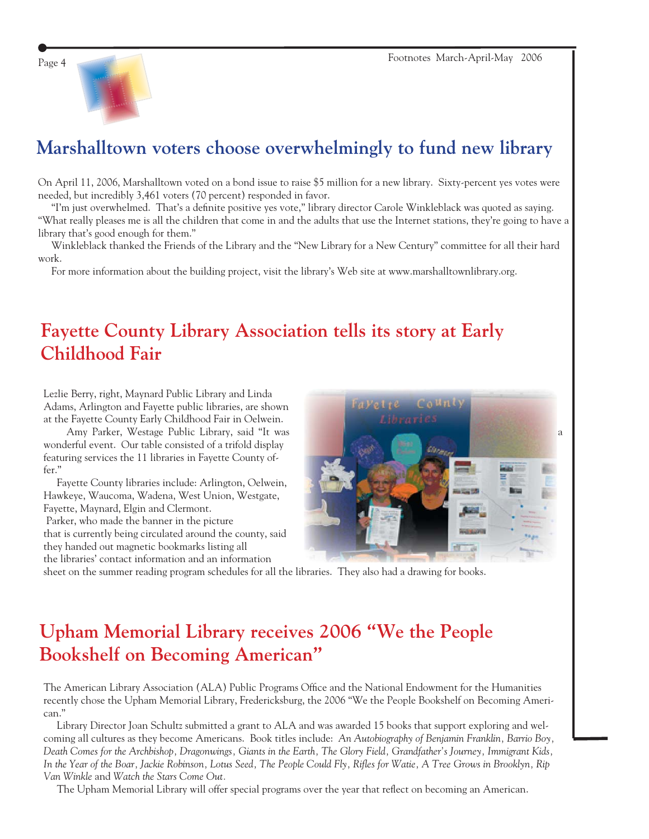

# **Marshalltown voters choose overwhelmingly to fund new library**

On April 11, 2006, Marshalltown voted on a bond issue to raise \$5 million for a new library. Sixty-percent yes votes were needed, but incredibly 3,461 voters (70 percent) responded in favor.

"I'm just overwhelmed. That's a definite positive yes vote," library director Carole Winkleblack was quoted as saying. "What really pleases me is all the children that come in and the adults that use the Internet stations, they're going to have a library that's good enough for them."

 Winkleblack thanked the Friends of the Library and the "New Library for a New Century" committee for all their hard work.

For more information about the building project, visit the library's Web site at [www.marshalltownlibrary.org.](http://www.marshalltownlibrary.org)

## **Fayette County Library Association tells its story at Early Childhood Fair**

Lezlie Berry, right, Maynard Public Library and Linda Adams, Arlington and Fayette public libraries, are shown at the Fayette County Early Childhood Fair in Oelwein.

wonderful event. Our table consisted of a trifold display featuring services the 11 libraries in Fayette County offer."

 Fayette County libraries include: Arlington, Oelwein, Hawkeye, Waucoma, Wadena, West Union, Westgate, Fayette, Maynard, Elgin and Clermont. Parker, who made the banner in the picture that is currently being circulated around the county, said

they handed out magnetic bookmarks listing all the libraries' contact information and an information



sheet on the summer reading program schedules for all the libraries. They also had a drawing for books.

# **Upham Memorial Library receives 2006 "We the People Bookshelf on Becoming American"**

The American Library Association (ALA) Public Programs Office and the National Endowment for the Humanities recently chose the Upham Memorial Library, Fredericksburg, the 2006 "We the People Bookshelf on Becoming American."

 Library Director Joan Schultz submitted a grant to ALA and was awarded 15 books that support exploring and welcoming all cultures as they become Americans. Book titles include: *An Autobiography of Benjamin Franklin, Barrio Boy, Death Comes for the Archbishop, Dragonwings, Giants in the Earth, The Glory Field, Grandfather's Journey, Immigrant Kids,*  In the Year of the Boar, Jackie Robinson, Lotus Seed, The People Could Fly, Rifles for Watie, A Tree Grows in Brooklyn, Rip *Van Winkle* and *Watch the Stars Come Out.*

The Upham Memorial Library will offer special programs over the year that reflect on becoming an American.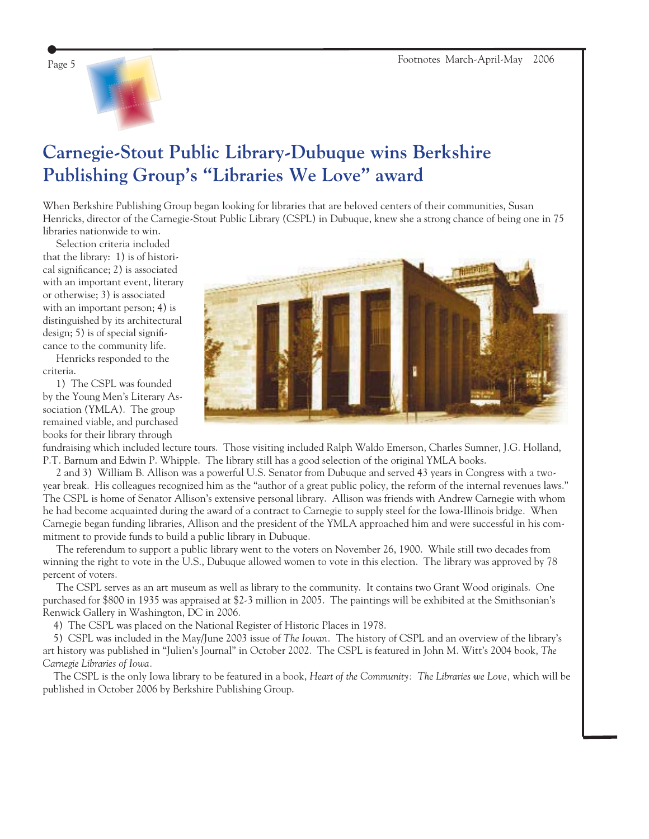

## **Carnegie-Stout Public Library-Dubuque wins Berkshire Publishing Group's "Libraries We Love" award**

When Berkshire Publishing Group began looking for libraries that are beloved centers of their communities, Susan Henricks, director of the Carnegie-Stout Public Library (CSPL) in Dubuque, knew she a strong chance of being one in 75 libraries nationwide to win.

 Selection criteria included that the library: 1) is of historical significance; 2) is associated with an important event, literary or otherwise; 3) is associated with an important person; 4) is distinguished by its architectural design; 5) is of special significance to the community life.

 Henricks responded to the criteria.

 1) The CSPL was founded by the Young Men's Literary Association (YMLA). The group remained viable, and purchased books for their library through



fundraising which included lecture tours. Those visiting included Ralph Waldo Emerson, Charles Sumner, J.G. Holland, P.T. Barnum and Edwin P. Whipple. The library still has a good selection of the original YMLA books.

 2 and 3) William B. Allison was a powerful U.S. Senator from Dubuque and served 43 years in Congress with a twoyear break. His colleagues recognized him as the "author of a great public policy, the reform of the internal revenues laws." The CSPL is home of Senator Allison's extensive personal library. Allison was friends with Andrew Carnegie with whom he had become acquainted during the award of a contract to Carnegie to supply steel for the Iowa-Illinois bridge. When Carnegie began funding libraries, Allison and the president of the YMLA approached him and were successful in his commitment to provide funds to build a public library in Dubuque.

 The referendum to support a public library went to the voters on November 26, 1900. While still two decades from winning the right to vote in the U.S., Dubuque allowed women to vote in this election. The library was approved by 78 percent of voters.

 The CSPL serves as an art museum as well as library to the community. It contains two Grant Wood originals. One purchased for \$800 in 1935 was appraised at \$2-3 million in 2005. The paintings will be exhibited at the Smithsonian's Renwick Gallery in Washington, DC in 2006.

4) The CSPL was placed on the National Register of Historic Places in 1978.

 5) CSPL was included in the May/June 2003 issue of *The Iowan.* The history of CSPL and an overview of the library's art history was published in "Julien's Journal" in October 2002. The CSPL is featured in John M. Witt's 2004 book, *The Carnegie Libraries of Iowa.*

The CSPL is the only Iowa library to be featured in a book, *Heart of the Community: The Libraries we Love,* which will be published in October 2006 by Berkshire Publishing Group.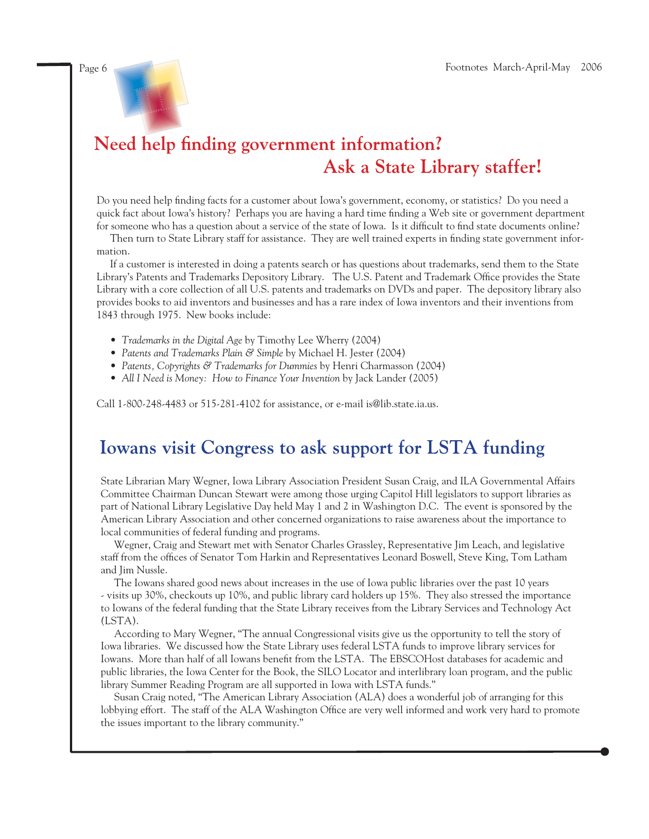

# Need help finding government information?  **Ask a State Library staffer!**

Do you need help finding facts for a customer about Iowa's government, economy, or statistics? Do you need a quick fact about Iowa's history? Perhaps you are having a hard time finding a Web site or government department for someone who has a question about a service of the state of Iowa. Is it difficult to find state documents online?

Then turn to State Library staff for assistance. They are well trained experts in finding state government information.

 If a customer is interested in doing a patents search or has questions about trademarks, send them to the State Library's Patents and Trademarks Depository Library. The U.S. Patent and Trademark Office provides the State Library with a core collection of all U.S. patents and trademarks on DVDs and paper. The depository library also provides books to aid inventors and businesses and has a rare index of Iowa inventors and their inventions from 1843 through 1975. New books include:

- *Trademarks in the Digital Age* by Timothy Lee Wherry (2004)
- *Patents and Trademarks Plain & Simple* by Michael H. Jester (2004)
- *Patents, Copyrights & Trademarks for Dummies* by Henri Charmasson (2004)
- *All I Need is Money: How to Finance Your Invention* by Jack Lander (2005)

Call 1-800-248-4483 or 515-281-4102 for assistance, or [e-mail is@lib.state.ia.us.](mailto:is@lib.state.ia.us)

### **Iowans visit Congress to ask support for LSTA funding**

State Librarian Mary Wegner, Iowa Library Association President Susan Craig, and ILA Governmental Affairs Committee Chairman Duncan Stewart were among those urging Capitol Hill legislators to support libraries as part of National Library Legislative Day held May 1 and 2 in Washington D.C. The event is sponsored by the American Library Association and other concerned organizations to raise awareness about the importance to local communities of federal funding and programs.

 Wegner, Craig and Stewart met with Senator Charles Grassley, Representative Jim Leach, and legislative staff from the offices of Senator Tom Harkin and Representatives Leonard Boswell, Steve King, Tom Latham and Jim Nussle.

 The Iowans shared good news about increases in the use of Iowa public libraries over the past 10 years - visits up 30%, checkouts up 10%, and public library card holders up 15%. They also stressed the importance to Iowans of the federal funding that the State Library receives from the Library Services and Technology Act (LSTA).

 According to Mary Wegner, "The annual Congressional visits give us the opportunity to tell the story of Iowa libraries. We discussed how the State Library uses federal LSTA funds to improve library services for Iowans. More than half of all Iowans benefi t from the LSTA. The EBSCOHost databases for academic and public libraries, the Iowa Center for the Book, the SILO Locator and interlibrary loan program, and the public library Summer Reading Program are all supported in Iowa with LSTA funds."

 Susan Craig noted, "The American Library Association (ALA) does a wonderful job of arranging for this lobbying effort. The staff of the ALA Washington Office are very well informed and work very hard to promote the issues important to the library community."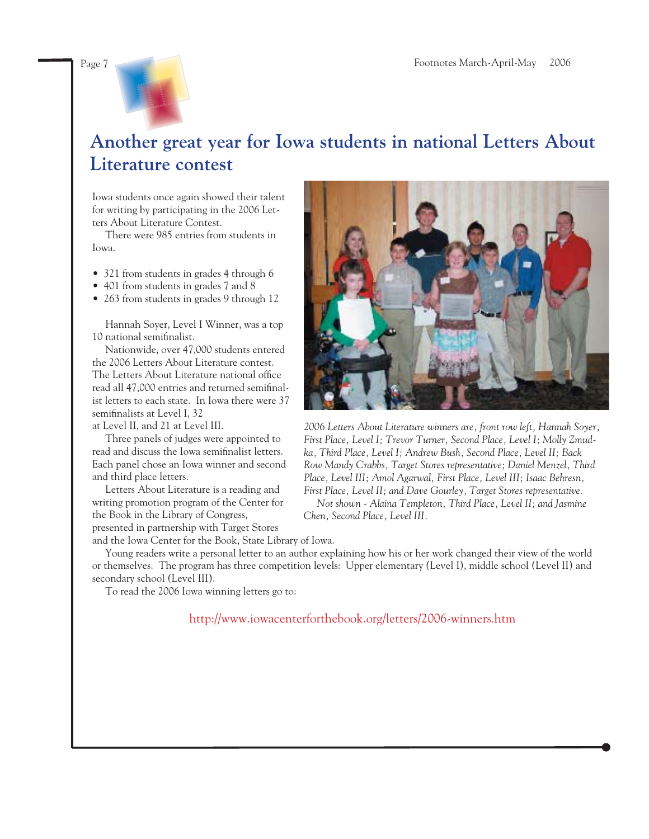

## **Another great year for Iowa students in national Letters About Literature contest**

Iowa students once again showed their talent for writing by participating in the 2006 Letters About Literature Contest.

 There were 985 entries from students in Iowa.

- 321 from students in grades 4 through 6
- 401 from students in grades 7 and 8
- 263 from students in grades 9 through 12

 Hannah Soyer, Level I Winner, was a top 10 national semifinalist.

 Nationwide, over 47,000 students entered the 2006 Letters About Literature contest. The Letters About Literature national office read all 47,000 entries and returned semifinalist letters to each state. In Iowa there were 37 semifinalists at Level I, 32

at Level II, and 21 at Level III.

 Three panels of judges were appointed to read and discuss the Iowa semifinalist letters. Each panel chose an Iowa winner and second and third place letters.

 Letters About Literature is a reading and writing promotion program of the Center for the Book in the Library of Congress, presented in partnership with Target Stores



*2006 Letters About Literature winners are, front row left, Hannah Soyer, First Place, Level I; Trevor Turner, Second Place, Level I; Molly Zmudka, Third Place, Level I; Andrew Bush, Second Place, Level II; Back Row Mandy Crabbs, Target Stores representative; Daniel Menzel, Third Place, Level III; Amol Agarwal, First Place, Level III; Isaac Behresn, First Place, Level II; and Dave Gourley, Target Stores representative.*

 *Not shown - Alaina Templeton, Third Place, Level II; and Jasmine Chen, Second Place, Level III.*

and the Iowa Center for the Book, State Library of Iowa. Young readers write a personal letter to an author explaining how his or her work changed their view of the world or themselves. The program has three competition levels: Upper elementary (Level I), middle school (Level II) and secondary school (Level III).

To read the 2006 Iowa winning letters go to:

<http://www.iowacenterforthebook.org/letters/2006-winners.htm>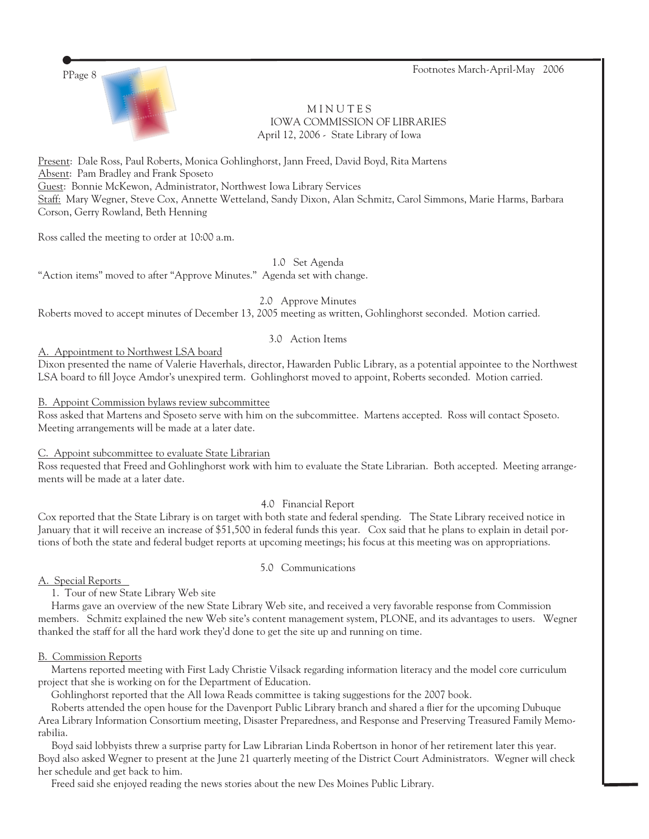PPage 8 Footnotes March-April-May 2006



**MINUTES**  IOWA COMMISSION OF LIBRARIES April 12, 2006 - State Library of Iowa

Present: Dale Ross, Paul Roberts, Monica Gohlinghorst, Jann Freed, David Boyd, Rita Martens Absent: Pam Bradley and Frank Sposeto Guest: Bonnie McKewon, Administrator, Northwest Iowa Library Services Staff: Mary Wegner, Steve Cox, Annette Wetteland, Sandy Dixon, Alan Schmitz, Carol Simmons, Marie Harms, Barbara Corson, Gerry Rowland, Beth Henning

Ross called the meeting to order at 10:00 a.m.

1.0 Set Agenda

"Action items" moved to after "Approve Minutes." Agenda set with change.

2.0 Approve Minutes

Roberts moved to accept minutes of December 13, 2005 meeting as written, Gohlinghorst seconded. Motion carried.

### 3.0 Action Items

A. Appointment to Northwest LSA board

Dixon presented the name of Valerie Haverhals, director, Hawarden Public Library, as a potential appointee to the Northwest LSA board to fill Joyce Amdor's unexpired term. Gohlinghorst moved to appoint, Roberts seconded. Motion carried.

### B. Appoint Commission bylaws review subcommittee

Ross asked that Martens and Sposeto serve with him on the subcommittee. Martens accepted. Ross will contact Sposeto. Meeting arrangements will be made at a later date.

C. Appoint subcommittee to evaluate State Librarian

Ross requested that Freed and Gohlinghorst work with him to evaluate the State Librarian. Both accepted. Meeting arrangements will be made at a later date.

4.0 Financial Report

Cox reported that the State Library is on target with both state and federal spending. The State Library received notice in January that it will receive an increase of \$51,500 in federal funds this year. Cox said that he plans to explain in detail portions of both the state and federal budget reports at upcoming meetings; his focus at this meeting was on appropriations.

5.0 Communications

### A. Special Reports

1. Tour of new State Library Web site

 Harms gave an overview of the new State Library Web site, and received a very favorable response from Commission members. Schmitz explained the new Web site's content management system, PLONE, and its advantages to users. Wegner thanked the staff for all the hard work they'd done to get the site up and running on time.

#### B. Commission Reports

 Martens reported meeting with First Lady Christie Vilsack regarding information literacy and the model core curriculum project that she is working on for the Department of Education.

Gohlinghorst reported that the All Iowa Reads committee is taking suggestions for the 2007 book.

Roberts attended the open house for the Davenport Public Library branch and shared a flier for the upcoming Dubuque Area Library Information Consortium meeting, Disaster Preparedness, and Response and Preserving Treasured Family Memorabilia.

 Boyd said lobbyists threw a surprise party for Law Librarian Linda Robertson in honor of her retirement later this year. Boyd also asked Wegner to present at the June 21 quarterly meeting of the District Court Administrators. Wegner will check her schedule and get back to him.

Freed said she enjoyed reading the news stories about the new Des Moines Public Library.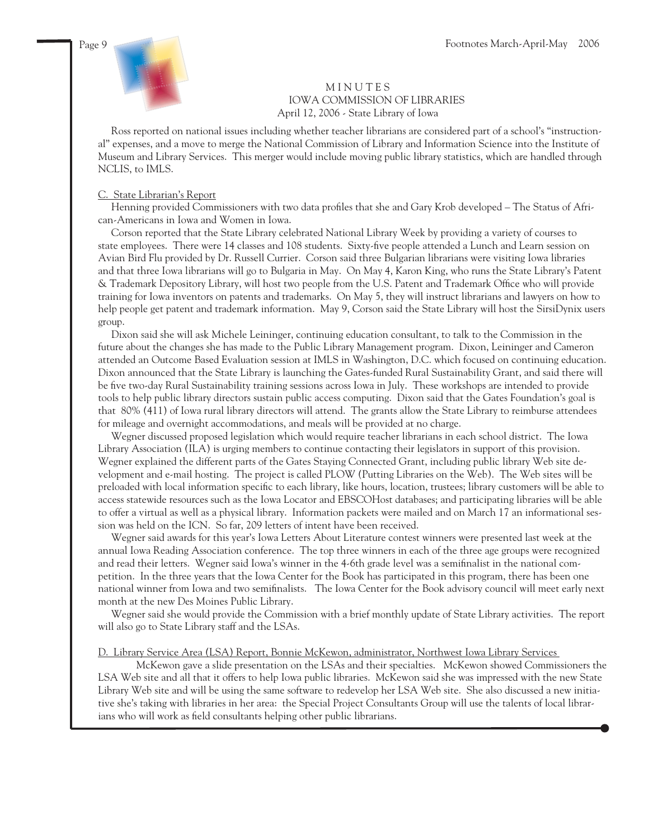

### **MINUTES**  IOWA COMMISSION OF LIBRARIES April 12, 2006 - State Library of Iowa

 Ross reported on national issues including whether teacher librarians are considered part of a school's "instructional" expenses, and a move to merge the National Commission of Library and Information Science into the Institute of Museum and Library Services. This merger would include moving public library statistics, which are handled through NCLIS, to IMLS.

### C. State Librarian's Report

Henning provided Commissioners with two data profiles that she and Gary Krob developed – The Status of African-Americans in Iowa and Women in Iowa.

 Corson reported that the State Library celebrated National Library Week by providing a variety of courses to state employees. There were 14 classes and 108 students. Sixty-five people attended a Lunch and Learn session on Avian Bird Flu provided by Dr. Russell Currier. Corson said three Bulgarian librarians were visiting Iowa libraries and that three Iowa librarians will go to Bulgaria in May. On May 4, Karon King, who runs the State Library's Patent & Trademark Depository Library, will host two people from the U.S. Patent and Trademark Office who will provide training for Iowa inventors on patents and trademarks. On May 5, they will instruct librarians and lawyers on how to help people get patent and trademark information. May 9, Corson said the State Library will host the SirsiDynix users group.

 Dixon said she will ask Michele Leininger, continuing education consultant, to talk to the Commission in the future about the changes she has made to the Public Library Management program. Dixon, Leininger and Cameron attended an Outcome Based Evaluation session at IMLS in Washington, D.C. which focused on continuing education. Dixon announced that the State Library is launching the Gates-funded Rural Sustainability Grant, and said there will be five two-day Rural Sustainability training sessions across Iowa in July. These workshops are intended to provide tools to help public library directors sustain public access computing. Dixon said that the Gates Foundation's goal is that 80% (411) of Iowa rural library directors will attend. The grants allow the State Library to reimburse attendees for mileage and overnight accommodations, and meals will be provided at no charge.

 Wegner discussed proposed legislation which would require teacher librarians in each school district. The Iowa Library Association (ILA) is urging members to continue contacting their legislators in support of this provision. Wegner explained the different parts of the Gates Staying Connected Grant, including public library Web site development and e-mail hosting. The project is called PLOW (Putting Libraries on the Web). The Web sites will be preloaded with local information specific to each library, like hours, location, trustees; library customers will be able to access statewide resources such as the Iowa Locator and EBSCOHost databases; and participating libraries will be able to offer a virtual as well as a physical library. Information packets were mailed and on March 17 an informational session was held on the ICN. So far, 209 letters of intent have been received.

 Wegner said awards for this year's Iowa Letters About Literature contest winners were presented last week at the annual Iowa Reading Association conference. The top three winners in each of the three age groups were recognized and read their letters. Wegner said Iowa's winner in the 4-6th grade level was a semifinalist in the national competition. In the three years that the Iowa Center for the Book has participated in this program, there has been one national winner from Iowa and two semifinalists. The Iowa Center for the Book advisory council will meet early next month at the new Des Moines Public Library.

 Wegner said she would provide the Commission with a brief monthly update of State Library activities. The report will also go to State Library staff and the LSAs.

#### D. Library Service Area (LSA) Report, Bonnie McKewon, administrator, Northwest Iowa Library Services

 McKewon gave a slide presentation on the LSAs and their specialties. McKewon showed Commissioners the LSA Web site and all that it offers to help Iowa public libraries. McKewon said she was impressed with the new State Library Web site and will be using the same software to redevelop her LSA Web site. She also discussed a new initiative she's taking with libraries in her area: the Special Project Consultants Group will use the talents of local librarians who will work as field consultants helping other public librarians.

j